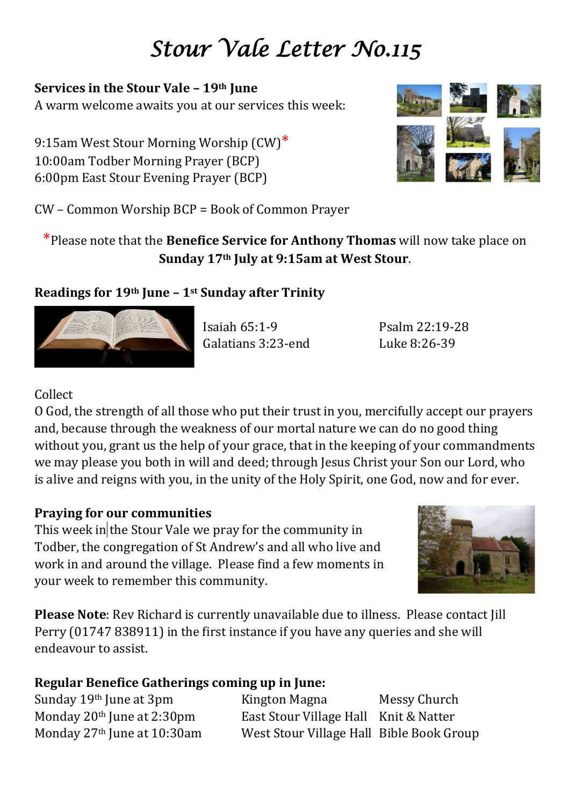# *Stour Vale Letter No.115*

### **Services in the Stour Vale – 19th June**

A warm welcome awaits you at our services this week:

9:15am West Stour Morning Worship (CW)<sup>\*</sup> 10:00am Todber Morning Prayer (BCP) 6:00pm East Stour Evening Prayer (BCP)



CW – Common Worship BCP = Book of Common Prayer

## \*Please note that the **Benefice Service for Anthony Thomas** will now take place on **Sunday 17th July at 9:15am at West Stour**.

## **Readings for 19th June – 1st Sunday after Trinity**



Isaiah 65:1-9 Psalm 22:19-28 Galatians 3:23-end Luke 8:26-39

## Collect

O God, the strength of all those who put their trust in you, mercifully accept our prayers and, because through the weakness of our mortal nature we can do no good thing without you, grant us the help of your grace, that in the keeping of your commandments we may please you both in will and deed; through Jesus Christ your Son our Lord, who is alive and reigns with you, in the unity of the Holy Spirit, one God, now and for ever.

### **Praying for our communities**

This week in the Stour Vale we pray for the community in Todber, the congregation of St Andrew's and all who live and work in and around the village. Please find a few moments in your week to remember this community.



**Please Note**: Rev Richard is currently unavailable due to illness. Please contact Jill Perry (01747 838911) in the first instance if you have any queries and she will endeavour to assist.

## **Regular Benefice Gatherings coming up in June:**

Sunday 19<sup>th</sup> June at 3pm Kington Magna Messy Church Monday 20<sup>th</sup> June at 2:30pm East Stour Village Hall Knit & Natter Monday 27th June at 10:30am West Stour Village Hall Bible Book Group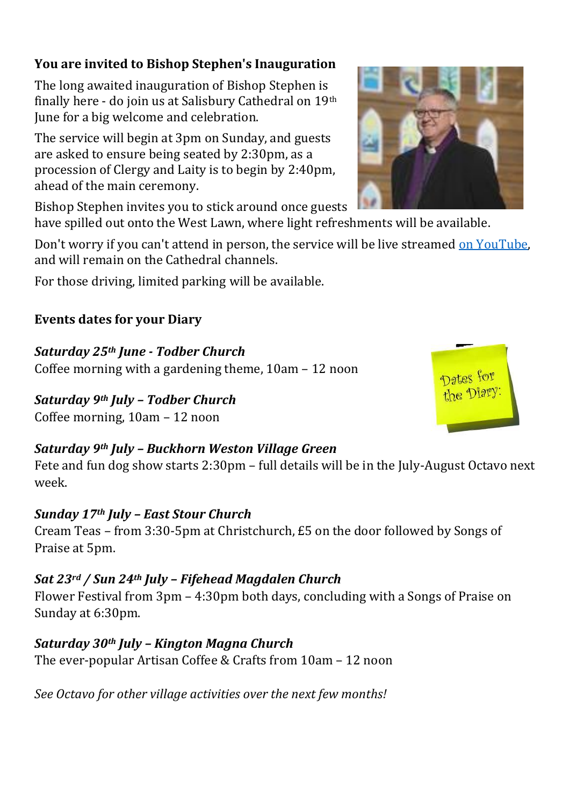## **You are invited to Bishop Stephen's Inauguration**

The long awaited inauguration of Bishop Stephen is finally here - do join us at Salisbury Cathedral on 19th June for a big welcome and celebration.

The service will begin at 3pm on Sunday, and guests are asked to ensure being seated by 2:30pm, as a procession of Clergy and Laity is to begin by 2:40pm, ahead of the main ceremony.

Bishop Stephen invites you to stick around once guests have spilled out onto the West Lawn, where light refreshments will be available.

Don't worry if you can't attend in person, the service will be live streamed [on YouTube,](https://www.youtube.com/channel/UCNICHZ40eOMdPi4oAJXl78g) and will remain on the Cathedral channels.

For those driving, limited parking will be available.

## **Events dates for your Diary**

## *Saturday 25th June - Todber Church*

Coffee morning with a gardening theme, 10am – 12 noon

## *Saturday 9th July – Todber Church*

Coffee morning, 10am – 12 noon

## *Saturday 9th July – Buckhorn Weston Village Green*

Fete and fun dog show starts 2:30pm – full details will be in the July-August Octavo next week.

## *Sunday 17th July – East Stour Church*

Cream Teas – from 3:30-5pm at Christchurch, £5 on the door followed by Songs of Praise at 5pm.

# *Sat 23rd / Sun 24th July – Fifehead Magdalen Church*

Flower Festival from 3pm – 4:30pm both days, concluding with a Songs of Praise on Sunday at 6:30pm.

*Saturday 30th July – Kington Magna Church* The ever-popular Artisan Coffee & Crafts from 10am – 12 noon

*See Octavo for other village activities over the next few months!*



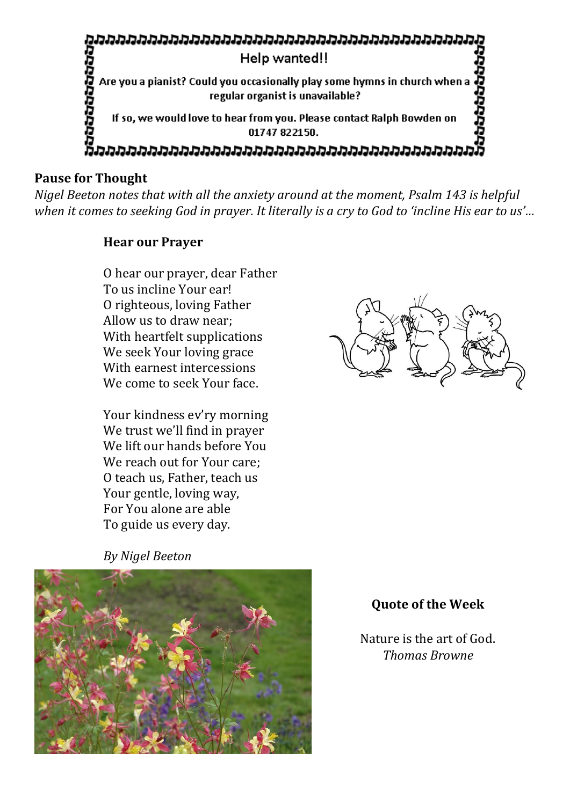

### **Pause for Thought**

*Nigel Beeton notes that with all the anxiety around at the moment, Psalm 143 is helpful when it comes to seeking God in prayer. It literally is a cry to God to 'incline His ear to us'…*

#### **Hear our Prayer**

O hear our prayer, dear Father To us incline Your ear! O righteous, loving Father Allow us to draw near; With heartfelt supplications We seek Your loving grace With earnest intercessions We come to seek Your face.

Your kindness ev'ry morning We trust we'll find in prayer We lift our hands before You We reach out for Your care; O teach us, Father, teach us Your gentle, loving way, For You alone are able To guide us every day.

*By Nigel Beeton*





### **Quote of the Week**

Nature is the art of God. *Thomas Browne*